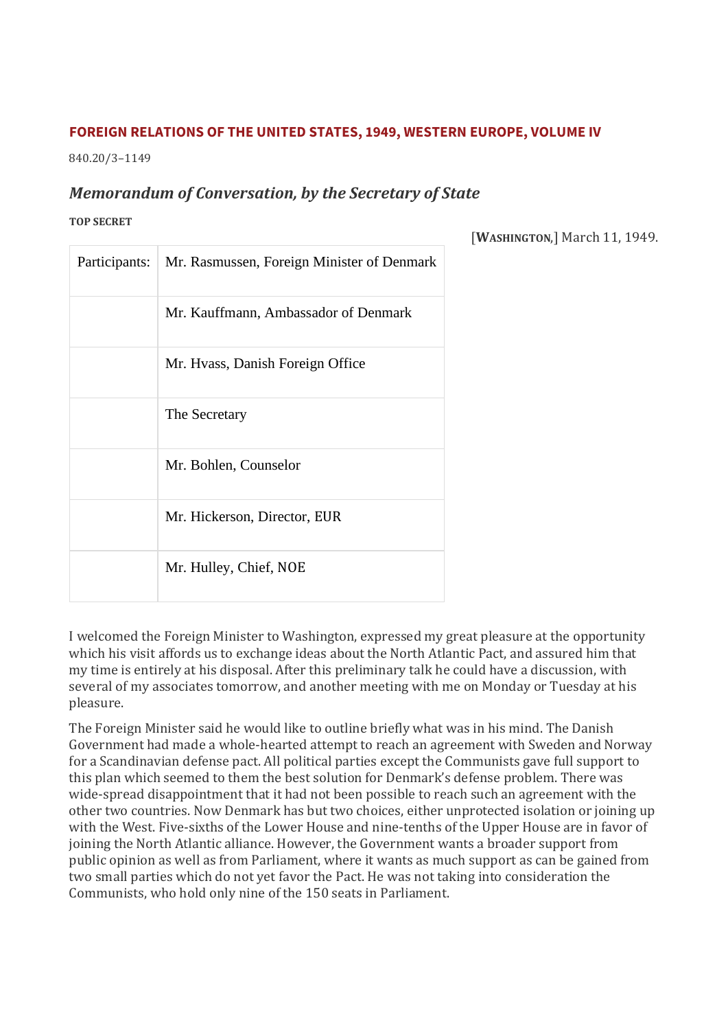## **FOREIGN RELATIONS OF THE UNITED STATES, 1949, WESTERN EUROPE, VOLUME IV**

840.20/3–1149

# *Memorandum of Conversation, by the Secretary of State*

#### **TOP SECRET**

[**WASHINGTON**,] March 11, 1949.

| Participants: | Mr. Rasmussen, Foreign Minister of Denmark |
|---------------|--------------------------------------------|
|               | Mr. Kauffmann, Ambassador of Denmark       |
|               | Mr. Hvass, Danish Foreign Office           |
|               | The Secretary                              |
|               | Mr. Bohlen, Counselor                      |
|               | Mr. Hickerson, Director, EUR               |
|               | Mr. Hulley, Chief, NOE                     |

I welcomed the Foreign Minister to Washington, expressed my great pleasure at the opportunity which his visit affords us to exchange ideas about the North Atlantic Pact, and assured him that my time is entirely at his disposal. After this preliminary talk he could have a discussion, with several of my associates tomorrow, and another meeting with me on Monday or Tuesday at his pleasure.

The Foreign Minister said he would like to outline briefly what was in his mind. The Danish Government had made a whole-hearted attempt to reach an agreement with Sweden and Norway for a Scandinavian defense pact. All political parties except the Communists gave full support to this plan which seemed to them the best solution for Denmark's defense problem. There was wide-spread disappointment that it had not been possible to reach such an agreement with the other two countries. Now Denmark has but two choices, either unprotected isolation or joining up with the West. Five-sixths of the Lower House and nine-tenths of the Upper House are in favor of joining the North Atlantic alliance. However, the Government wants a broader support from public opinion as well as from Parliament, where it wants as much support as can be gained from two small parties which do not yet favor the Pact. He was not taking into consideration the Communists, who hold only nine of the 150 seats in Parliament.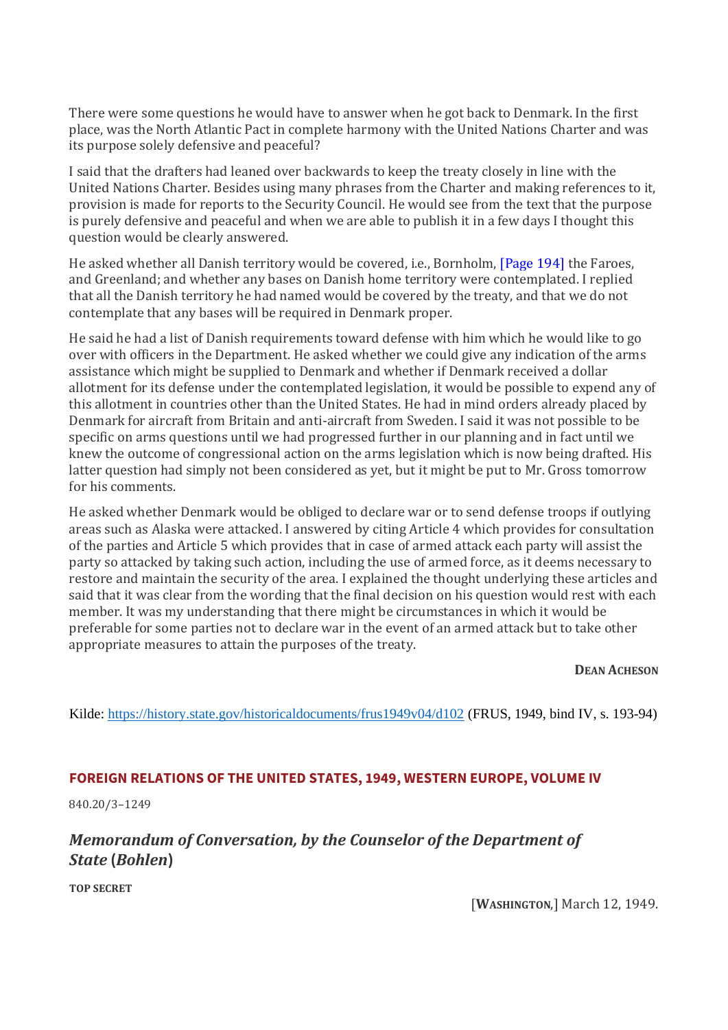There were some questions he would have to answer when he got back to Denmark. In the first place, was the North Atlantic Pact in complete harmony with the United Nations Charter and was its purpose solely defensive and peaceful?

I said that the drafters had leaned over backwards to keep the treaty closely in line with the United Nations Charter. Besides using many phrases from the Charter and making references to it, provision is made for reports to the Security Council. He would see from the text that the purpose is purely defensive and peaceful and when we are able to publish it in a few days I thought this question would be clearly answered.

He asked whether all Danish territory would be covered, i.e., Bornholm, [\[Page 194\]](https://history.state.gov/historicaldocuments/frus1949v04/pg_194) the Faroes, and Greenland; and whether any bases on Danish home territory were contemplated. I replied that all the Danish territory he had named would be covered by the treaty, and that we do not contemplate that any bases will be required in Denmark proper.

He said he had a list of Danish requirements toward defense with him which he would like to go over with officers in the Department. He asked whether we could give any indication of the arms assistance which might be supplied to Denmark and whether if Denmark received a dollar allotment for its defense under the contemplated legislation, it would be possible to expend any of this allotment in countries other than the United States. He had in mind orders already placed by Denmark for aircraft from Britain and anti-aircraft from Sweden. I said it was not possible to be specific on arms questions until we had progressed further in our planning and in fact until we knew the outcome of congressional action on the arms legislation which is now being drafted. His latter question had simply not been considered as yet, but it might be put to Mr. Gross tomorrow for his comments.

He asked whether Denmark would be obliged to declare war or to send defense troops if outlying areas such as Alaska were attacked. I answered by citing Article 4 which provides for consultation of the parties and Article 5 which provides that in case of armed attack each party will assist the party so attacked by taking such action, including the use of armed force, as it deems necessary to restore and maintain the security of the area. I explained the thought underlying these articles and said that it was clear from the wording that the final decision on his question would rest with each member. It was my understanding that there might be circumstances in which it would be preferable for some parties not to declare war in the event of an armed attack but to take other appropriate measures to attain the purposes of the treaty.

**DEAN ACHESON**

Kilde:<https://history.state.gov/historicaldocuments/frus1949v04/d102> (FRUS, 1949, bind IV, s. 193-94)

### **FOREIGN RELATIONS OF THE UNITED STATES, 1949, WESTERN EUROPE, VOLUME IV**

840.20/3–1249

# *Memorandum of Conversation, by the Counselor of the Department of State* **(***Bohlen***)**

**TOP SECRET**

[**WASHINGTON**,] March 12, 1949.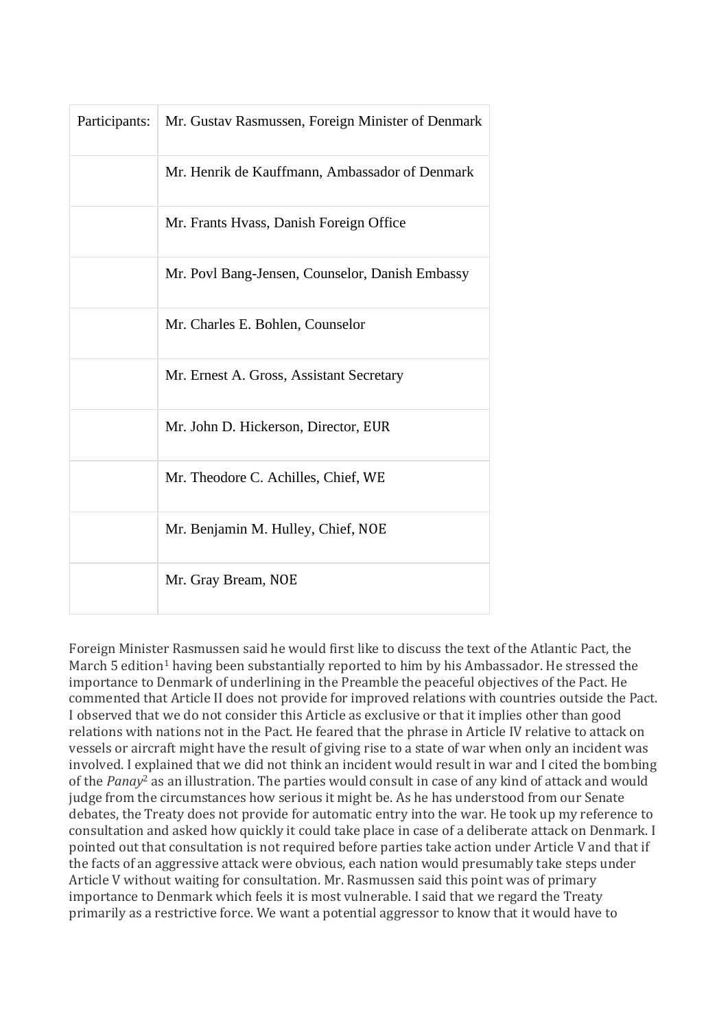| Participants: | Mr. Gustav Rasmussen, Foreign Minister of Denmark |
|---------------|---------------------------------------------------|
|               | Mr. Henrik de Kauffmann, Ambassador of Denmark    |
|               | Mr. Frants Hvass, Danish Foreign Office           |
|               | Mr. Povl Bang-Jensen, Counselor, Danish Embassy   |
|               | Mr. Charles E. Bohlen, Counselor                  |
|               | Mr. Ernest A. Gross, Assistant Secretary          |
|               | Mr. John D. Hickerson, Director, EUR              |
|               | Mr. Theodore C. Achilles, Chief, WE               |
|               | Mr. Benjamin M. Hulley, Chief, NOE                |
|               | Mr. Gray Bream, NOE                               |

Foreign Minister Rasmussen said he would first like to discuss the text of the Atlantic Pact, the March 5 edition<sup>1</sup> having been substantially reported to him by his Ambassador. He stressed the importance to Denmark of underlining in the Preamble the peaceful objectives of the Pact. He commented that Article II does not provide for improved relations with countries outside the Pact. I observed that we do not consider this Article as exclusive or that it implies other than good relations with nations not in the Pact. He feared that the phrase in Article IV relative to attack on vessels or aircraft might have the result of giving rise to a state of war when only an incident was involved. I explained that we did not think an incident would result in war and I cited the bombing of the *Panay*<sup>2</sup> as an illustration. The parties would consult in case of any kind of attack and would judge from the circumstances how serious it might be. As he has understood from our Senate debates, the Treaty does not provide for automatic entry into the war. He took up my reference to consultation and asked how quickly it could take place in case of a deliberate attack on Denmark. I pointed out that consultation is not required before parties take action under Article V and that if the facts of an aggressive attack were obvious, each nation would presumably take steps under Article V without waiting for consultation. Mr. Rasmussen said this point was of primary importance to Denmark which feels it is most vulnerable. I said that we regard the Treaty primarily as a restrictive force. We want a potential aggressor to know that it would have to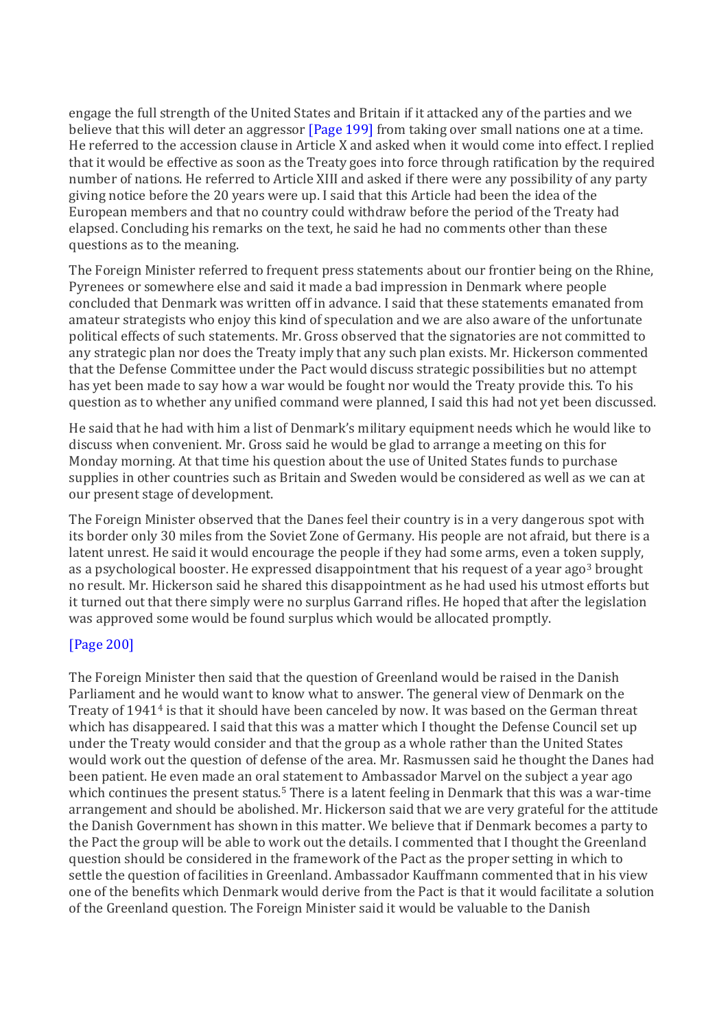engage the full strength of the United States and Britain if it attacked any of the parties and we believe that this will deter an aggressor [\[Page 199\]](https://history.state.gov/historicaldocuments/frus1949v04/pg_199) from taking over small nations one at a time. He referred to the accession clause in Article X and asked when it would come into effect. I replied that it would be effective as soon as the Treaty goes into force through ratification by the required number of nations. He referred to Article XIII and asked if there were any possibility of any party giving notice before the 20 years were up. I said that this Article had been the idea of the European members and that no country could withdraw before the period of the Treaty had elapsed. Concluding his remarks on the text, he said he had no comments other than these questions as to the meaning.

The Foreign Minister referred to frequent press statements about our frontier being on the Rhine, Pyrenees or somewhere else and said it made a bad impression in Denmark where people concluded that Denmark was written off in advance. I said that these statements emanated from amateur strategists who enjoy this kind of speculation and we are also aware of the unfortunate political effects of such statements. Mr. Gross observed that the signatories are not committed to any strategic plan nor does the Treaty imply that any such plan exists. Mr. Hickerson commented that the Defense Committee under the Pact would discuss strategic possibilities but no attempt has yet been made to say how a war would be fought nor would the Treaty provide this. To his question as to whether any unified command were planned, I said this had not yet been discussed.

He said that he had with him a list of Denmark's military equipment needs which he would like to discuss when convenient. Mr. Gross said he would be glad to arrange a meeting on this for Monday morning. At that time his question about the use of United States funds to purchase supplies in other countries such as Britain and Sweden would be considered as well as we can at our present stage of development.

The Foreign Minister observed that the Danes feel their country is in a very dangerous spot with its border only 30 miles from the Soviet Zone of Germany. His people are not afraid, but there is a latent unrest. He said it would encourage the people if they had some arms, even a token supply, as a psychological booster. He expressed disappointment that his request of a year ago<sup>3</sup> brought no result. Mr. Hickerson said he shared this disappointment as he had used his utmost efforts but it turned out that there simply were no surplus Garrand rifles. He hoped that after the legislation was approved some would be found surplus which would be allocated promptly.

## [\[Page 200\]](https://history.state.gov/historicaldocuments/frus1949v04/pg_200)

The Foreign Minister then said that the question of Greenland would be raised in the Danish Parliament and he would want to know what to answer. The general view of Denmark on the Treaty of 1941<sup>4</sup> is that it should have been canceled by now. It was based on the German threat which has disappeared. I said that this was a matter which I thought the Defense Council set up under the Treaty would consider and that the group as a whole rather than the United States would work out the question of defense of the area. Mr. Rasmussen said he thought the Danes had been patient. He even made an oral statement to Ambassador Marvel on the subject a year ago which continues the present status.<sup>5</sup> There is a latent feeling in Denmark that this was a war-time arrangement and should be abolished. Mr. Hickerson said that we are very grateful for the attitude the Danish Government has shown in this matter. We believe that if Denmark becomes a party to the Pact the group will be able to work out the details. I commented that I thought the Greenland question should be considered in the framework of the Pact as the proper setting in which to settle the question of facilities in Greenland. Ambassador Kauffmann commented that in his view one of the benefits which Denmark would derive from the Pact is that it would facilitate a solution of the Greenland question. The Foreign Minister said it would be valuable to the Danish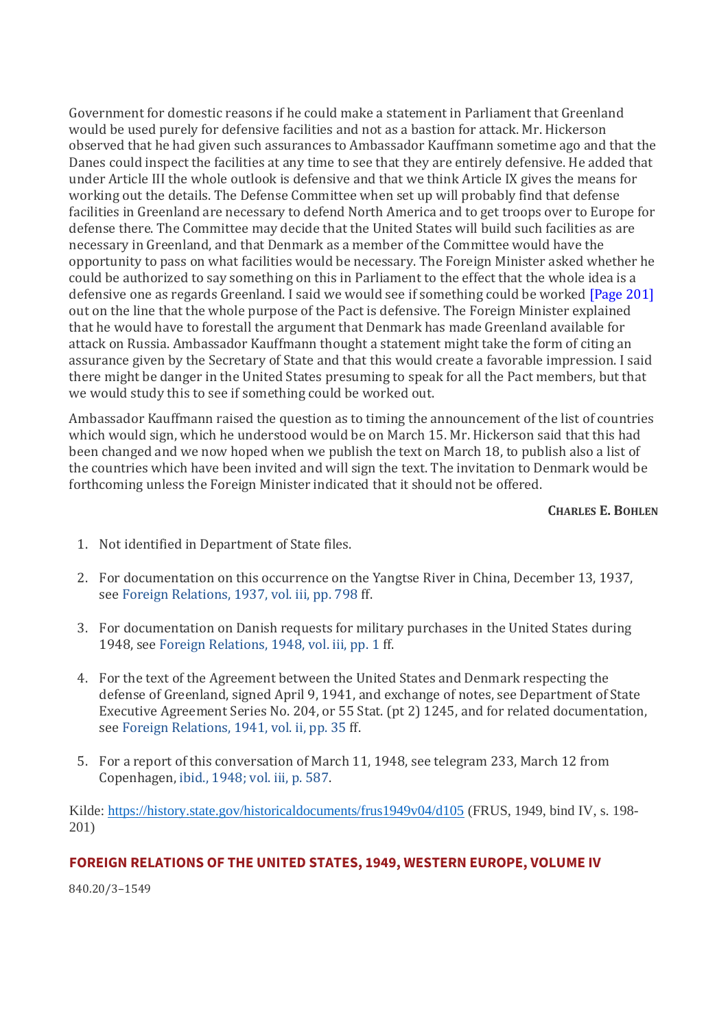Government for domestic reasons if he could make a statement in Parliament that Greenland would be used purely for defensive facilities and not as a bastion for attack. Mr. Hickerson observed that he had given such assurances to Ambassador Kauffmann sometime ago and that the Danes could inspect the facilities at any time to see that they are entirely defensive. He added that under Article III the whole outlook is defensive and that we think Article IX gives the means for working out the details. The Defense Committee when set up will probably find that defense facilities in Greenland are necessary to defend North America and to get troops over to Europe for defense there. The Committee may decide that the United States will build such facilities as are necessary in Greenland, and that Denmark as a member of the Committee would have the opportunity to pass on what facilities would be necessary. The Foreign Minister asked whether he could be authorized to say something on this in Parliament to the effect that the whole idea is a defensive one as regards Greenland. I said we would see if something could be worked [\[Page 201\]](https://history.state.gov/historicaldocuments/frus1949v04/pg_201) out on the line that the whole purpose of the Pact is defensive. The Foreign Minister explained that he would have to forestall the argument that Denmark has made Greenland available for attack on Russia. Ambassador Kauffmann thought a statement might take the form of citing an assurance given by the Secretary of State and that this would create a favorable impression. I said there might be danger in the United States presuming to speak for all the Pact members, but that we would study this to see if something could be worked out.

Ambassador Kauffmann raised the question as to timing the announcement of the list of countries which would sign, which he understood would be on March 15. Mr. Hickerson said that this had been changed and we now hoped when we publish the text on March 18, to publish also a list of the countries which have been invited and will sign the text. The invitation to Denmark would be forthcoming unless the Foreign Minister indicated that it should not be offered.

#### **CHARLES E. BOHLEN**

- 1. Not identified in Department of State files.
- 2. For documentation on this occurrence on the Yangtse River in China, December 13, 1937, see [Foreign Relations, 1937, vol. iii, pp. 798](https://history.state.gov/historicaldocuments/frus1937v03/pg_798) ff.
- 3. For documentation on Danish requests for military purchases in the United States during 1948, see [Foreign Relations, 1948, vol. iii, pp. 1](https://history.state.gov/historicaldocuments/frus1948v03/pg_1) ff.
- 4. For the text of the Agreement between the United States and Denmark respecting the defense of Greenland, signed April 9, 1941, and exchange of notes, see Department of State Executive Agreement Series No. 204, or 55 Stat. (pt 2) 1245, and for related documentation, see [Foreign Relations, 1941, vol. ii, pp. 35](https://history.state.gov/historicaldocuments/frus1941v02/pg_35) ff.
- 5. For a report of this conversation of March 11, 1948, see telegram 233, March 12 from Copenhagen, [ibid., 1948; vol. iii, p. 587.](https://history.state.gov/historicaldocuments/frus1948v03/pg_587)

Kilde: <https://history.state.gov/historicaldocuments/frus1949v04/d105> (FRUS, 1949, bind IV, s. 198- 201)

### **FOREIGN RELATIONS OF THE UNITED STATES, 1949, WESTERN EUROPE, VOLUME IV**

840.20/3–1549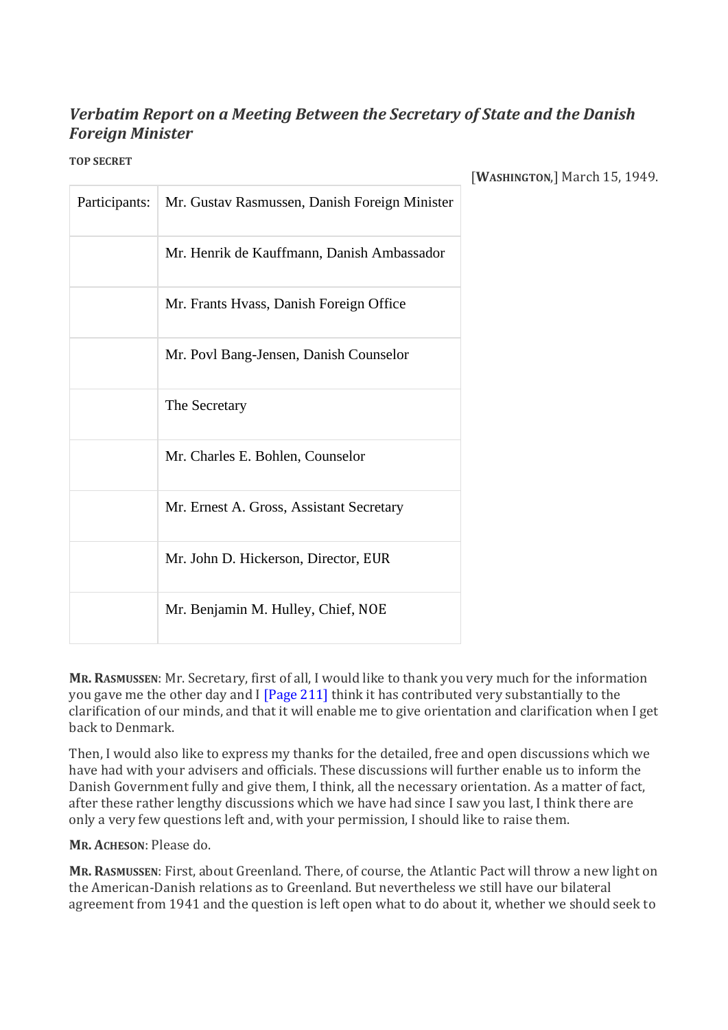# *Verbatim Report on a Meeting Between the Secretary of State and the Danish Foreign Minister*

**TOP SECRET**

| Participants: | Mr. Gustav Rasmussen, Danish Foreign Minister |
|---------------|-----------------------------------------------|
|               | Mr. Henrik de Kauffmann, Danish Ambassador    |
|               | Mr. Frants Hvass, Danish Foreign Office       |
|               | Mr. Povl Bang-Jensen, Danish Counselor        |
|               | The Secretary                                 |
|               | Mr. Charles E. Bohlen, Counselor              |
|               | Mr. Ernest A. Gross, Assistant Secretary      |
|               | Mr. John D. Hickerson, Director, EUR          |
|               | Mr. Benjamin M. Hulley, Chief, NOE            |

[**WASHINGTON**,] March 15, 1949.

**MR. RASMUSSEN**: Mr. Secretary, first of all, I would like to thank you very much for the information you gave me the other day and I [\[Page 211\]](https://history.state.gov/historicaldocuments/frus1949v04/pg_211) think it has contributed very substantially to the clarification of our minds, and that it will enable me to give orientation and clarification when I get back to Denmark.

Then, I would also like to express my thanks for the detailed, free and open discussions which we have had with your advisers and officials. These discussions will further enable us to inform the Danish Government fully and give them, I think, all the necessary orientation. As a matter of fact, after these rather lengthy discussions which we have had since I saw you last, I think there are only a very few questions left and, with your permission, I should like to raise them.

**MR. ACHESON**: Please do.

**MR. RASMUSSEN**: First, about Greenland. There, of course, the Atlantic Pact will throw a new light on the American-Danish relations as to Greenland. But nevertheless we still have our bilateral agreement from 1941 and the question is left open what to do about it, whether we should seek to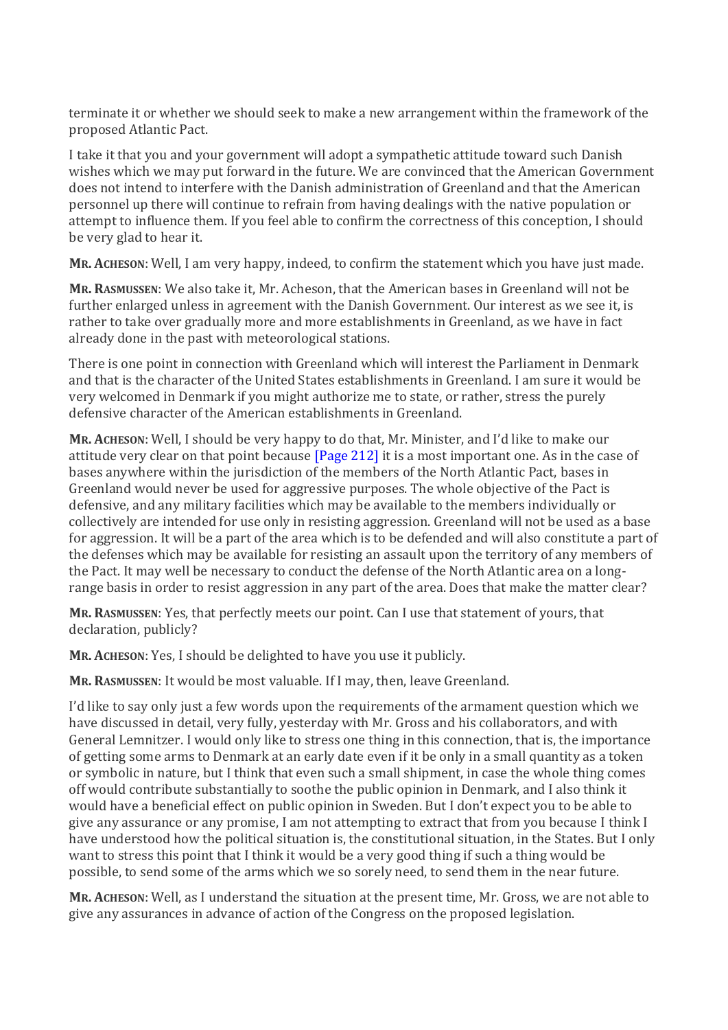terminate it or whether we should seek to make a new arrangement within the framework of the proposed Atlantic Pact.

I take it that you and your government will adopt a sympathetic attitude toward such Danish wishes which we may put forward in the future. We are convinced that the American Government does not intend to interfere with the Danish administration of Greenland and that the American personnel up there will continue to refrain from having dealings with the native population or attempt to influence them. If you feel able to confirm the correctness of this conception, I should be very glad to hear it.

**MR. ACHESON**: Well, I am very happy, indeed, to confirm the statement which you have just made.

**MR. RASMUSSEN**: We also take it, Mr. Acheson, that the American bases in Greenland will not be further enlarged unless in agreement with the Danish Government. Our interest as we see it, is rather to take over gradually more and more establishments in Greenland, as we have in fact already done in the past with meteorological stations.

There is one point in connection with Greenland which will interest the Parliament in Denmark and that is the character of the United States establishments in Greenland. I am sure it would be very welcomed in Denmark if you might authorize me to state, or rather, stress the purely defensive character of the American establishments in Greenland.

**MR. ACHESON**: Well, I should be very happy to do that, Mr. Minister, and I'd like to make our attitude very clear on that point because [\[Page 212\]](https://history.state.gov/historicaldocuments/frus1949v04/pg_212) it is a most important one. As in the case of bases anywhere within the jurisdiction of the members of the North Atlantic Pact, bases in Greenland would never be used for aggressive purposes. The whole objective of the Pact is defensive, and any military facilities which may be available to the members individually or collectively are intended for use only in resisting aggression. Greenland will not be used as a base for aggression. It will be a part of the area which is to be defended and will also constitute a part of the defenses which may be available for resisting an assault upon the territory of any members of the Pact. It may well be necessary to conduct the defense of the North Atlantic area on a longrange basis in order to resist aggression in any part of the area. Does that make the matter clear?

**MR. RASMUSSEN**: Yes, that perfectly meets our point. Can I use that statement of yours, that declaration, publicly?

**MR. ACHESON**: Yes, I should be delighted to have you use it publicly.

**MR. RASMUSSEN**: It would be most valuable. If I may, then, leave Greenland.

I'd like to say only just a few words upon the requirements of the armament question which we have discussed in detail, very fully, yesterday with Mr. Gross and his collaborators, and with General Lemnitzer. I would only like to stress one thing in this connection, that is, the importance of getting some arms to Denmark at an early date even if it be only in a small quantity as a token or symbolic in nature, but I think that even such a small shipment, in case the whole thing comes off would contribute substantially to soothe the public opinion in Denmark, and I also think it would have a beneficial effect on public opinion in Sweden. But I don't expect you to be able to give any assurance or any promise, I am not attempting to extract that from you because I think I have understood how the political situation is, the constitutional situation, in the States. But I only want to stress this point that I think it would be a very good thing if such a thing would be possible, to send some of the arms which we so sorely need, to send them in the near future.

**MR. ACHESON**: Well, as I understand the situation at the present time, Mr. Gross, we are not able to give any assurances in advance of action of the Congress on the proposed legislation.